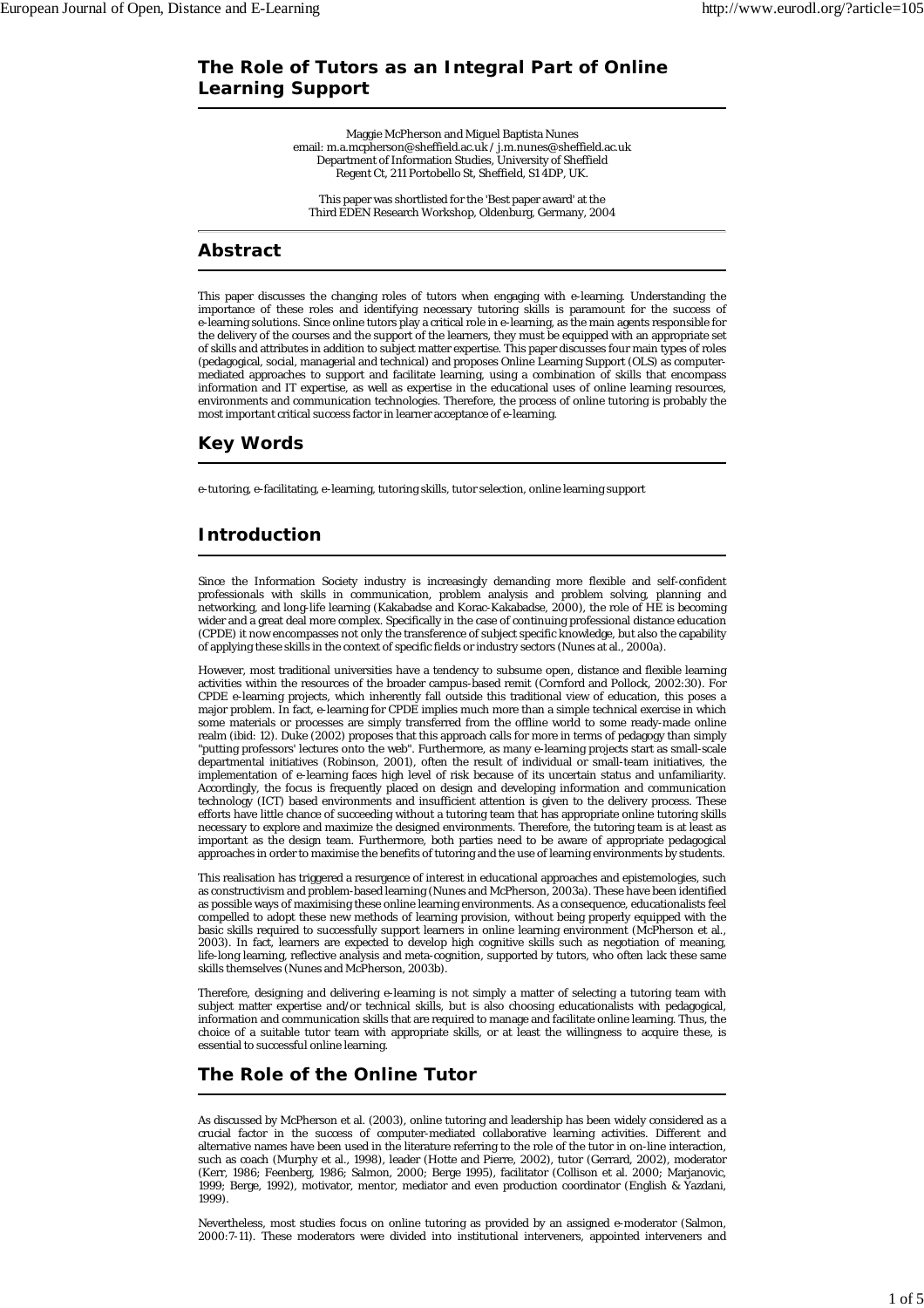#### **The Role of Tutors as an Integral Part of Online Learning Support**

Maggie McPherson and Miguel Baptista Nunes email: m.a.mcpherson@sheffield.ac.uk / j.m.nunes@sheffield.ac.uk Department of Information Studies, University of Sheffield Regent Ct, 211 Portobello St, Sheffield, S1 4DP, UK.

This paper was shortlisted for the 'Best paper award' at the Third EDEN Research Workshop, Oldenburg, Germany, 2004

#### **Abstract**

This paper discusses the changing roles of tutors when engaging with e-learning. Understanding the importance of these roles and identifying necessary tutoring skills is paramount for the success of e-learning solutions. Since online tutors play a critical role in e-learning, as the main agents responsible for the delivery of the courses and the support of the learners, they must be equipped with an appropriate set of skills and attributes in addition to subject matter expertise. This paper discusses four main types of roles (pedagogical, social, managerial and technical) and proposes Online Learning Support (OLS) as computermediated approaches to support and facilitate learning, using a combination of skills that encompass information and IT expertise, as well as expertise in the educational uses of online learning resources, environments and communication technologies. Therefore, the process of online tutoring is probably the most important critical success factor in learner acceptance of e-learning.

#### **Key Words**

e-tutoring, e-facilitating, e-learning, tutoring skills, tutor selection, online learning support

# **Introduction**

Since the Information Society industry is increasingly demanding more flexible and self-confident professionals with skills in communication, problem analysis and problem solving, planning and networking, and long-life learning (Kakabadse and Korac-Kakabadse, 2000), the role of HE is becoming wider and a great deal more complex. Specifically in the case of continuing professional distance education (CPDE) it now encompasses not only the transference of subject specific knowledge, but also the capability of applying these skills in the context of specific fields or industry sectors (Nunes at al., 2000a).

However, most traditional universities have a tendency to subsume open, distance and flexible learning activities within the resources of the broader campus-based remit (Cornford and Pollock, 2002:30). For CPDE e-learning projects, which inherently fall outside this traditional view of education, this poses a major problem. In fact, e-learning for CPDE implies much more than a simple technical exercise in which some materials or processes are simply transferred from the offline world to some ready-made online realm (ibid: 12). Duke (2002) proposes that this approach calls for more in terms of pedagogy than simply "putting professors' lectures onto the web". Furthermore, as many e-learning projects start as small-scale departmental initiatives (Robinson, 2001), often the result of individual or small-team initiatives, the implementation of e-learning faces high level of risk because of its uncertain status and unfamiliarity. Accordingly, the focus is frequently placed on design and developing information and communication technology (ICT) based environments and insufficient attention is given to the delivery process. These efforts have little chance of succeeding without a tutoring team that has appropriate online tutoring skills necessary to explore and maximize the designed environments. Therefore, the tutoring team is at least as important as the design team. Furthermore, both parties need to be aware of appropriate pedagogical approaches in order to maximise the benefits of tutoring and the use of learning environments by students.

This realisation has triggered a resurgence of interest in educational approaches and epistemologies, such as constructivism and problem-based learning (Nunes and McPherson, 2003a). These have been identified as possible ways of maximising these online learning environments. As a consequence, educationalists feel compelled to adopt these new methods of learning provision, without being properly equipped with the basic skills required to successfully support learners in online learning environment (McPherson et al., 2003). In fact, learners are expected to develop high cognitive skills such as negotiation of meaning, life-long learning, reflective analysis and meta-cognition, supported by tutors, who often lack these same skills themselves (Nunes and McPherson, 2003b).

Therefore, designing and delivering e-learning is not simply a matter of selecting a tutoring team with subject matter expertise and/or technical skills, but is also choosing educationalists with pedagogical, information and communication skills that are required to manage and facilitate online learning. Thus, the choice of a suitable tutor team with appropriate skills, or at least the willingness to acquire these, is essential to successful online learning.

# **The Role of the Online Tutor**

As discussed by McPherson et al. (2003), online tutoring and leadership has been widely considered as a crucial factor in the success of computer-mediated collaborative learning activities. Different and alternative names have been used in the literature referring to the role of the tutor in on-line interaction, such as coach (Murphy et al., 1998), leader (Hotte and Pierre, 2002), tutor (Gerrard, 2002), moderator (Kerr, 1986; Feenberg, 1986; Salmon, 2000; Berge 1995), facilitator (Collison et al. 2000; Marjanovic, 1999; Berge, 1992), motivator, mentor, mediator and even production coordinator (English & Yazdani, 1999).

Nevertheless, most studies focus on online tutoring as provided by an assigned e-moderator (Salmon, 2000:7-11). These moderators were divided into institutional interveners, appointed interveners and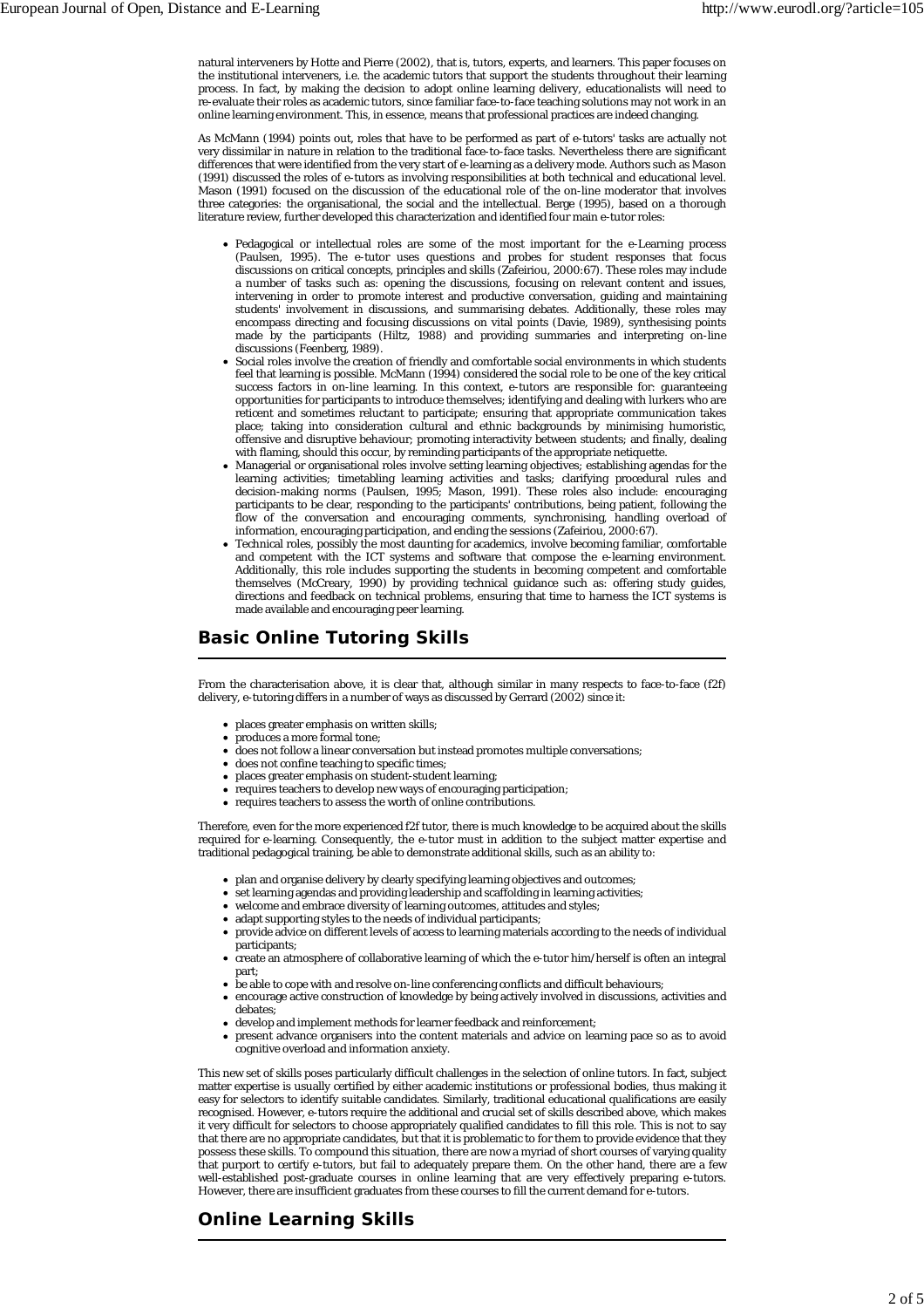natural interveners by Hotte and Pierre (2002), that is, tutors, experts, and learners. This paper focuses on the institutional interveners, i.e. the academic tutors that support the students throughout their learning process. In fact, by making the decision to adopt online learning delivery, educationalists will need to re-evaluate their roles as academic tutors, since familiar face-to-face teaching solutions may not work in an online learning environment. This, in essence, means that professional practices are indeed changing.

As McMann (1994) points out, roles that have to be performed as part of e-tutors' tasks are actually not very dissimilar in nature in relation to the traditional face-to-face tasks. Nevertheless there are significant differences that were identified from the very start of e-learning as a delivery mode. Authors such as Mason (1991) discussed the roles of e-tutors as involving responsibilities at both technical and educational level. Mason (1991) focused on the discussion of the educational role of the on-line moderator that involves three categories: the organisational, the social and the intellectual. Berge (1995), based on a thorough literature review, further developed this characterization and identified four main e-tutor roles:

- Pedagogical or intellectual roles are some of the most important for the e-Learning process (Paulsen, 1995). The e-tutor uses questions and probes for student responses that focus discussions on critical concepts, principles and skills (Zafeiriou, 2000:67). These roles may include a number of tasks such as: opening the discussions, focusing on relevant content and issues, intervening in order to promote interest and productive conversation, guiding and maintaining students' involvement in discussions, and summarising debates. Additionally, these roles may encompass directing and focusing discussions on vital points (Davie, 1989), synthesising points made by the participants (Hiltz, 1988) and providing summaries and interpreting on-line discussions (Feenberg, 1989).
- Social roles involve the creation of friendly and comfortable social environments in which students feel that learning is possible. McMann (1994) considered the social role to be one of the key critical success factors in on-line learning. In this context, e-tutors are responsible for: guaranteeing opportunities for participants to introduce themselves; identifying and dealing with lurkers who are reticent and sometimes reluctant to participate; ensuring that appropriate communication takes place; taking into consideration cultural and ethnic backgrounds by minimising humoristic, offensive and disruptive behaviour; promoting interactivity between students; and finally, dealing with flaming, should this occur, by reminding participants of the appropriate netiquette.
- Managerial or organisational roles involve setting learning objectives; establishing agendas for the learning activities; timetabling learning activities and tasks; clarifying procedural rules and decision-making norms (Paulsen, 1995; Mason, 1991). These roles also include: encouraging participants to be clear, responding to the participants' contributions, being patient, following the flow of the conversation and encouraging comments, synchronising, handling overload of information, encouraging participation, and ending the sessions (Zafeiriou, 2000:67).
- Technical roles, possibly the most daunting for academics, involve becoming familiar, comfortable and competent with the ICT systems and software that compose the e-learning environment. Additionally, this role includes supporting the students in becoming competent and comfortable themselves (McCreary, 1990) by providing technical guidance such as: offering study guides, directions and feedback on technical problems, ensuring that time to harness the ICT systems is made available and encouraging peer learning.

# **Basic Online Tutoring Skills**

From the characterisation above, it is clear that, although similar in many respects to face-to-face (f2f) delivery, e-tutoring differs in a number of ways as discussed by Gerrard (2002) since it:

- places greater emphasis on written skills;
- produces a more formal tone;
- does not follow a linear conversation but instead promotes multiple conversations;
- does not confine teaching to specific times;
- places greater emphasis on student-student learning;
- requires teachers to develop new ways of encouraging participation;
- requires teachers to assess the worth of online contributions.

Therefore, even for the more experienced f2f tutor, there is much knowledge to be acquired about the skills required for e-learning. Consequently, the e-tutor must in addition to the subject matter expertise and traditional pedagogical training, be able to demonstrate additional skills, such as an ability to:

- plan and organise delivery by clearly specifying learning objectives and outcomes;
- set learning agendas and providing leadership and scaffolding in learning activities;
- welcome and embrace diversity of learning outcomes, attitudes and styles;
- adapt supporting styles to the needs of individual participants;
- provide advice on different levels of access to learning materials according to the needs of individual participants;
- create an atmosphere of collaborative learning of which the e-tutor him/herself is often an integral part;
- be able to cope with and resolve on-line conferencing conflicts and difficult behaviours;
- encourage active construction of knowledge by being actively involved in discussions, activities and debates;
- develop and implement methods for learner feedback and reinforcement;
- present advance organisers into the content materials and advice on learning pace so as to avoid cognitive overload and information anxiety.

This new set of skills poses particularly difficult challenges in the selection of online tutors. In fact, subject matter expertise is usually certified by either academic institutions or professional bodies, thus making it matter expertise is usually certified by either academic institutions or professional bodies, thus making it easy for selectors to identify suitable candidates. Similarly, traditional educational qualifications are easily recognised. However, e-tutors require the additional and crucial set of skills described above, which makes it very difficult for selectors to choose appropriately qualified candidates to fill this role. This is not to say that there are no appropriate candidates, but that it is problematic to for them to provide evidence that they possess these skills. To compound this situation, there are now a myriad of short courses of varying quality that purport to certify e-tutors, but fail to adequately prepare them. On the other hand, there are a few well-established post-graduate courses in online learning that are very effectively preparing e-tutors. However, there are insufficient graduates from these courses to fill the current demand for e-tutors.

# **Online Learning Skills**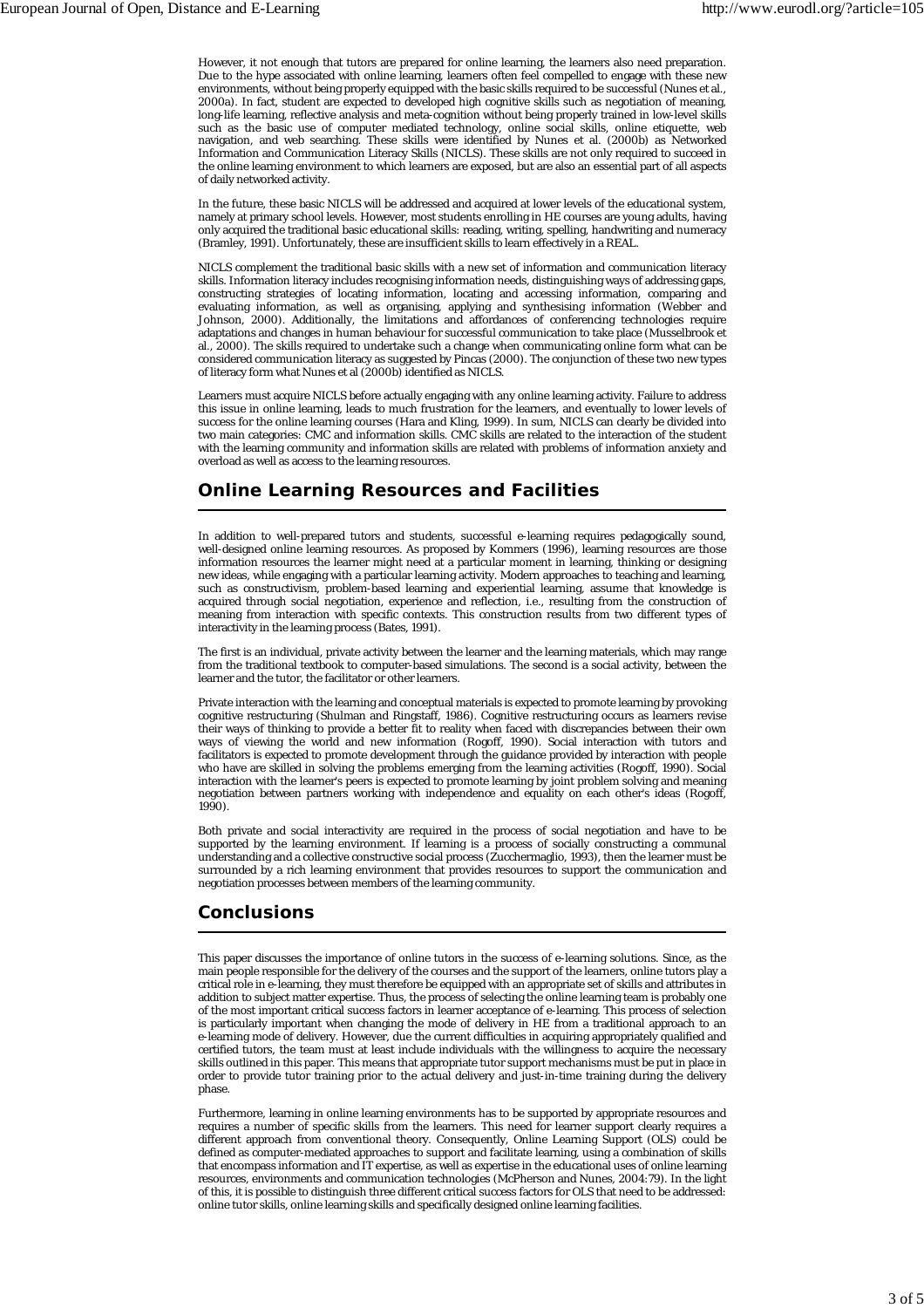However, it not enough that tutors are prepared for online learning, the learners also need preparation. Due to the hype associated with online learning, learners often feel compelled to engage with these new environments, without being properly equipped with the basic skills required to be successful (Nunes et al., 2000a). In fact, student are expected to developed high cognitive skills such as negotiation of meaning, long-life learning, reflective analysis and meta-cognition without being properly trained in low-level skills such as the basic use of computer mediated technology, online social skills, online etiquette, web navigation, and web searching. These skills were identified by Nunes et al. (2000b) as Networked Information and Communication Literacy Skills (NICLS). These skills are not only required to succeed in the online learning environment to which learners are exposed, but are also an essential part of all aspects of daily networked activity.

In the future, these basic NICLS will be addressed and acquired at lower levels of the educational system, namely at primary school levels. However, most students enrolling in HE courses are young adults, having only acquired the traditional basic educational skills: reading, writing, spelling, handwriting and numeracy (Bramley, 1991). Unfortunately, these are insufficient skills to learn effectively in a REAL.

NICLS complement the traditional basic skills with a new set of information and communication literacy skills. Information literacy includes recognising information needs, distinguishing ways of addressing gaps, constructing strategies of locating information, locating and accessing information, comparing and evaluating information, as well as organising, applying and synthesising information (Webber and Johnson, 2000). Additionally, the limitations and affordances of conferencing technologies require adaptations and changes in human behaviour for successful communication to take place (Musselbrook et al., 2000). The skills required to undertake such a change when communicating online form what can be considered communication literacy as suggested by Pincas (2000). The conjunction of these two new types of literacy form what Nunes et al (2000b) identified as NICLS.

Learners must acquire NICLS before actually engaging with any online learning activity. Failure to address this issue in online learning, leads to much frustration for the learners, and eventually to lower levels of success for the online learning courses (Hara and Kling, 1999). In sum, NICLS can clearly be divided into two main categories: CMC and information skills. CMC skills are related to the interaction of the student with the learning community and information skills are related with problems of information anxiety and overload as well as access to the learning resources.

#### **Online Learning Resources and Facilities**

In addition to well-prepared tutors and students, successful e-learning requires pedagogically sound, well-designed online learning resources. As proposed by Kommers (1996), learning resources are those information resources the learner might need at a particular moment in learning, thinking or designing new ideas, while engaging with a particular learning activity. Modern approaches to teaching and learning, such as constructivism, problem-based learning and experiential learning, assume that knowledge is acquired through social negotiation, experience and reflection, i.e., resulting from the construction of meaning from interaction with specific contexts. This construction results from two different types of interactivity in the learning process (Bates, 1991).

The first is an individual, private activity between the learner and the learning materials, which may range from the traditional textbook to computer-based simulations. The second is a social activity, between the learner and the tutor, the facilitator or other learners.

Private interaction with the learning and conceptual materials is expected to promote learning by provoking cognitive restructuring (Shulman and Ringstaff, 1986). Cognitive restructuring occurs as learners revise their ways of thinking to provide a better fit to reality when faced with discrepancies between their own ways of viewing the world and new information (Rogoff, 1990). Social interaction with tutors and facilitators is expected to promote development through the guidance provided by interaction with people who have are skilled in solving the problems emerging from the learning activities (Rogoff, 1990). Social interaction with the learner's peers is expected to promote learning by joint problem solving and meaning negotiation between partners working with independence and equality on each other's ideas (Rogoff, 1990).

Both private and social interactivity are required in the process of social negotiation and have to be supported by the learning environment. If learning is a process of socially constructing a communal understanding and a collective constructive social process (Zucchermaglio, 1993), then the learner must be surrounded by a rich learning environment that provides resources to support the communication and negotiation processes between members of the learning community.

# **Conclusions**

This paper discusses the importance of online tutors in the success of e-learning solutions. Since, as the main people responsible for the delivery of the courses and the support of the learners, online tutors play a critical role in e-learning, they must therefore be equipped with an appropriate set of skills and attributes in addition to subject matter expertise. Thus, the process of selecting the online learning team is probably one of the most important critical success factors in learner acceptance of e-learning. This process of selection is particularly important when changing the mode of delivery in HE from a traditional approach to an e-learning mode of delivery. However, due the current difficulties in acquiring appropriately qualified and certified tutors, the team must at least include individuals with the willingness to acquire the necessary skills outlined in this paper. This means that appropriate tutor support mechanisms must be put in place in order to provide tutor training prior to the actual delivery and just-in-time training during the delivery phase.

Furthermore, learning in online learning environments has to be supported by appropriate resources and requires a number of specific skills from the learners. This need for learner support clearly requires a different approach from conventional theory. Consequently, Online Learning Support (OLS) could be defined as computer-mediated approaches to support and facilitate learning, using a combination of skills that encompass information and IT expertise, as well as expertise in the educational uses of online learning resources, environments and communication technologies (McPherson and Nunes, 2004:79). In the light of this, it is possible to distinguish three different critical success factors for OLS that need to be addressed: online tutor skills, online learning skills and specifically designed online learning facilities.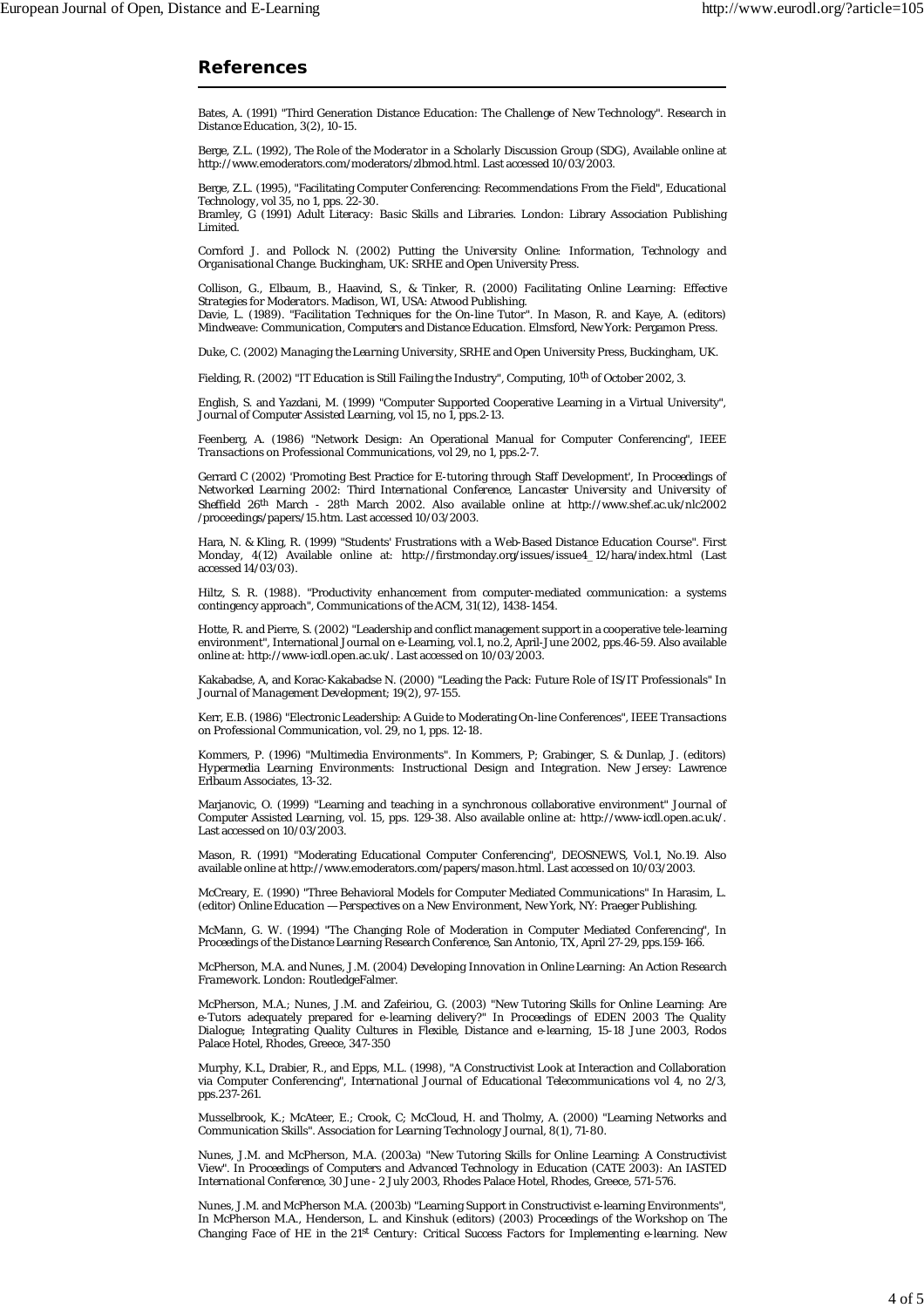#### **References**

Bates, A. (1991) "Third Generation Distance Education: The Challenge of New Technology". *Research in Distance Education*, 3(2), 10-15.

Berge, Z.L. (1992), *The Role of the Moderator in a Scholarly Discussion Group (SDG)*, Available online at http://www.emoderators.com/moderators/zlbmod.html. Last accessed 10/03/2003.

Berge, Z.L. (1995), "Facilitating Computer Conferencing: Recommendations From the Field", *Educational Technology*, vol 35, no 1, pps. 22-30.

Bramley, G (1991) *Adult Literacy: Basic Skills and Libraries*. London: Library Association Publishing Limited.

Cornford J. and Pollock N. (2002) *Putting the University Online: Information, Technology and Organisational Change*. Buckingham, UK: SRHE and Open University Press.

Collison, G., Elbaum, B., Haavind, S., & Tinker, R. (2000) *Facilitating Online Learning: Effective Strategies for Moderators*. Madison, WI, USA: Atwood Publishing.

Davie, L. (1989). "*Facilitation Techniques for the On-line Tutor*". In Mason, R. and Kaye, A. (editors) Mindweave: *Communication, Computers and Distance Education*. Elmsford, New York: Pergamon Press.

Duke, C. (2002) *Managing the Learning University*, SRHE and Open University Press, Buckingham, UK.

Fielding, R. (2002) "IT Education is Still Failing the Industry", *Computing*, 10th of October 2002, 3.

English, S. and Yazdani, M. (1999) "Computer Supported Cooperative Learning in a Virtual University", *Journal of Computer Assisted Learning*, vol 15, no 1, pps.2-13.

Feenberg, A. (1986) "Network Design: An Operational Manual for Computer Conferencing", *IEEE Transactions on Professional Communications*, vol 29, no 1, pps.2-7.

Gerrard C (2002) 'Promoting Best Practice for E-tutoring through Staff Development', *In Proceedings of Networked Learning 2002: Third International Conference, Lancaster University and University of Sheffield* 26th March - 28th March 2002. Also available online at http://www.shef.ac.uk/nlc2002 /proceedings/papers/15.htm. Last accessed 10/03/2003.

Hara, N. & Kling, R. (1999) "Students' Frustrations with a Web-Based Distance Education Course". *First Monday*, 4(12) Available online at: http://firstmonday.org/issues/issue4\_12/hara/index.html (Last accessed 14/03/03).

Hiltz, S. R. (1988). "Productivity enhancement from computer-mediated communication: a systems contingency approach", *Communications of the ACM*, 31(12), 1438-1454.

Hotte, R. and Pierre, S. (2002) "Leadership and conflict management support in a cooperative tele-learning environment", International Journal on e-Learning, vol.1, no.2, April-June 2002, pps.46-59. Also available online at: http://www-icdl.open.ac.uk/. Last accessed on 10/03/2003.

Kakabadse, A, and Korac-Kakabadse N. (2000) "Leading the Pack: Future Role of IS/IT Professionals" In *Journal of Management Development*; 19(2), 97-155.

Kerr, E.B. (1986) "Electronic Leadership: A Guide to Moderating On-line Conferences", I*EEE Transactions on Professional Communication*, vol. 29, no 1, pps. 12-18.

Kommers, P. (1996) "Multimedia Environments". In Kommers, P; Grabinger, S. & Dunlap, J. (editors) *Hypermedia Learning Environments: Instructional Design and Integration*. New Jersey: Lawrence Erlbaum Associates, 13-32.

Marjanovic, O. (1999) "Learning and teaching in a synchronous collaborative environment" *Journal of Computer Assisted Learning*, vol. 15, pps. 129-38. Also available online at: http://www-icdl.open.ac.uk/. Last accessed on 10/03/2003.

Mason, R. (1991) "Moderating Educational Computer Conferencing", DEOSNEWS, Vol.1, No.19. Also available online at http://www.emoderators.com/papers/mason.html. Last accessed on 10/03/2003.

McCreary, E. (1990) "Three Behavioral Models for Computer Mediated Communications" In Harasim, L. (editor) *Online Education — Perspectives on a New Environment*, New York, NY: Praeger Publishing.

McMann, G. W. (1994) "The Changing Role of Moderation in Computer Mediated Conferencing", In *Proceedings of the Distance Learning Research Conference*, San Antonio, TX, April 27-29, pps.159-166.

McPherson, M.A. and Nunes, J.M. (2004) *Developing Innovation in Online Learning: An Action Research Framework*. London: RoutledgeFalmer.

McPherson, M.A.; Nunes, J.M. and Zafeiriou, G. (2003) "New Tutoring Skills for Online Learning: Are e-Tutors adequately prepared for e-learning delivery?" In *Proceedings of EDEN 2003 The Quality Dialogue; Integrating Quality Cultures in Flexible, Distance and e-learning*, 15-18 June 2003, Rodos Palace Hotel, Rhodes, Greece, 347-350

Murphy, K.L, Drabier, R., and Epps, M.L. (1998), "A Constructivist Look at Interaction and Collaboration via Computer Conferencing", I*nternational Journal of Educational Telecommunications* vol 4, no 2/3, pps.237-261.

Musselbrook, K.; McAteer, E.; Crook, C; McCloud, H. and Tholmy, A. (2000) "Learning Networks and Communication Skills". *Association for Learning Technology Journal*, 8(1), 71-80.

Nunes, J.M. and McPherson, M.A. (2003a) "New Tutoring Skills for Online Learning: A Constructivist View". In *Proceedings of Computers and Advanced Technology in Education (CATE 2003): An IASTED International Conference*, 30 June - 2 July 2003, Rhodes Palace Hotel, Rhodes, Greece, 571-576.

Nunes, J.M. and McPherson M.A. (2003b) "Learning Support in Constructivist e-learning Environments", In McPherson M.A., Henderson, L. and Kinshuk (editors) (2003) *Proceedings of the Workshop on The Changing Face of HE in the 21st Century: Critical Success Factors for Implementing e-learning*. New